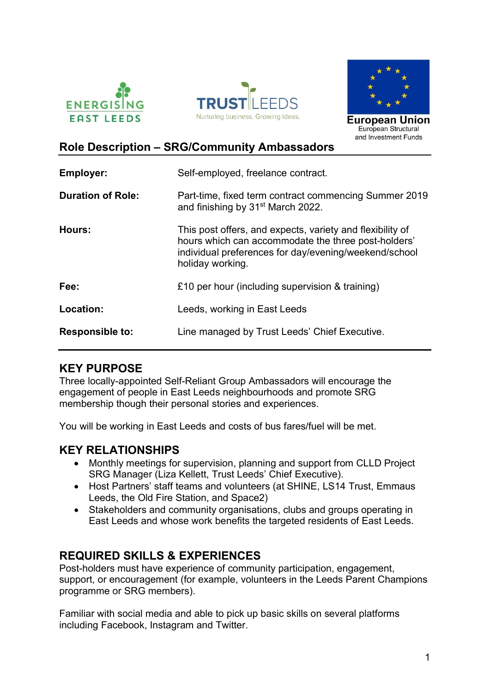





## Role Description – SRG/Community Ambassadors

| <b>Employer:</b>         | Self-employed, freelance contract.                                                                                                                                                            |
|--------------------------|-----------------------------------------------------------------------------------------------------------------------------------------------------------------------------------------------|
| <b>Duration of Role:</b> | Part-time, fixed term contract commencing Summer 2019<br>and finishing by 31 <sup>st</sup> March 2022.                                                                                        |
| Hours:                   | This post offers, and expects, variety and flexibility of<br>hours which can accommodate the three post-holders'<br>individual preferences for day/evening/weekend/school<br>holiday working. |
| Fee:                     | £10 per hour (including supervision & training)                                                                                                                                               |
| Location:                | Leeds, working in East Leeds                                                                                                                                                                  |
| <b>Responsible to:</b>   | Line managed by Trust Leeds' Chief Executive.                                                                                                                                                 |

### KEY PURPOSE

Three locally-appointed Self-Reliant Group Ambassadors will encourage the engagement of people in East Leeds neighbourhoods and promote SRG membership though their personal stories and experiences.

You will be working in East Leeds and costs of bus fares/fuel will be met.

### KEY RELATIONSHIPS

- Monthly meetings for supervision, planning and support from CLLD Project SRG Manager (Liza Kellett, Trust Leeds' Chief Executive).
- Host Partners' staff teams and volunteers (at SHINE, LS14 Trust, Emmaus Leeds, the Old Fire Station, and Space2)
- Stakeholders and community organisations, clubs and groups operating in East Leeds and whose work benefits the targeted residents of East Leeds.

## REQUIRED SKILLS & EXPERIENCES

Post-holders must have experience of community participation, engagement, support, or encouragement (for example, volunteers in the Leeds Parent Champions programme or SRG members).

Familiar with social media and able to pick up basic skills on several platforms including Facebook, Instagram and Twitter.